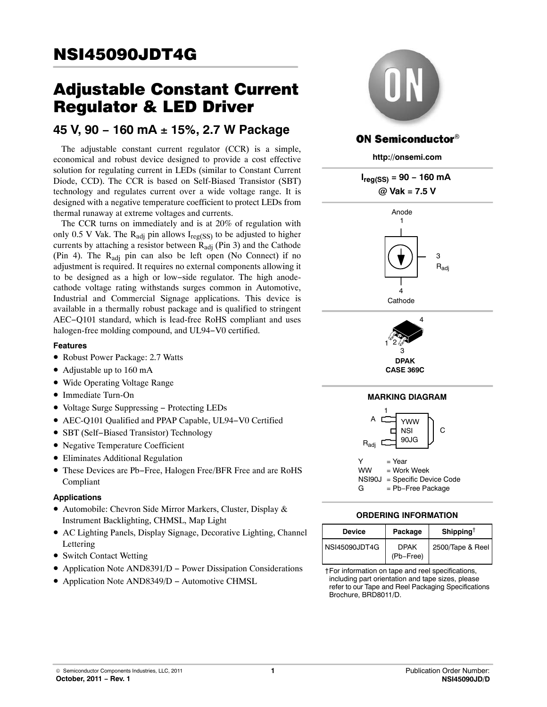# Adjustable Constant Current Regulator & LED Driver

# **45 V, 90 − 160 mA** - **15%, 2.7 W Package**

The adjustable constant current regulator (CCR) is a simple, economical and robust device designed to provide a cost effective solution for regulating current in LEDs (similar to Constant Current Diode, CCD). The CCR is based on Self-Biased Transistor (SBT) technology and regulates current over a wide voltage range. It is designed with a negative temperature coefficient to protect LEDs from thermal runaway at extreme voltages and currents.

The CCR turns on immediately and is at 20% of regulation with only 0.5 V Vak. The R<sub>adi</sub> pin allows  $I_{\text{reg}}(SS)$  to be adjusted to higher currents by attaching a resistor between  $R_{\text{adj}}$  (Pin 3) and the Cathode (Pin 4). The  $R_{\text{adi}}$  pin can also be left open (No Connect) if no adjustment is required. It requires no external components allowing it to be designed as a high or low−side regulator. The high anodecathode voltage rating withstands surges common in Automotive, Industrial and Commercial Signage applications. This device is available in a thermally robust package and is qualified to stringent AEC−Q101 standard, which is lead-free RoHS compliant and uses halogen-free molding compound, and UL94−V0 certified.

# **Features**

- Robust Power Package: 2.7 Watts
- Adjustable up to 160 mA
- Wide Operating Voltage Range
- Immediate Turn-On
- Voltage Surge Suppressing − Protecting LEDs
- AEC-Q101 Qualified and PPAP Capable, UL94−V0 Certified
- SBT (Self−Biased Transistor) Technology
- Negative Temperature Coefficient
- Eliminates Additional Regulation
- These Devices are Pb−Free, Halogen Free/BFR Free and are RoHS Compliant

# **Applications**

- Automobile: Chevron Side Mirror Markers, Cluster, Display & Instrument Backlighting, CHMSL, Map Light
- AC Lighting Panels, Display Signage, Decorative Lighting, Channel Lettering
- Switch Contact Wetting
- Application Note AND8391/D − Power Dissipation Considerations
- Application Note AND8349/D − Automotive CHMSL



# **ON Semiconductor®**

**http://onsemi.com**



| Device               | Package                  | Shipping <sup>†</sup> |
|----------------------|--------------------------|-----------------------|
| <b>NSI45090JDT4G</b> | <b>DPAK</b><br>(Pb-Free) | 2500/Tape & Reel      |

†For information on tape and reel specifications, including part orientation and tape sizes, please refer to our Tape and Reel Packaging Specifications Brochure, BRD8011/D.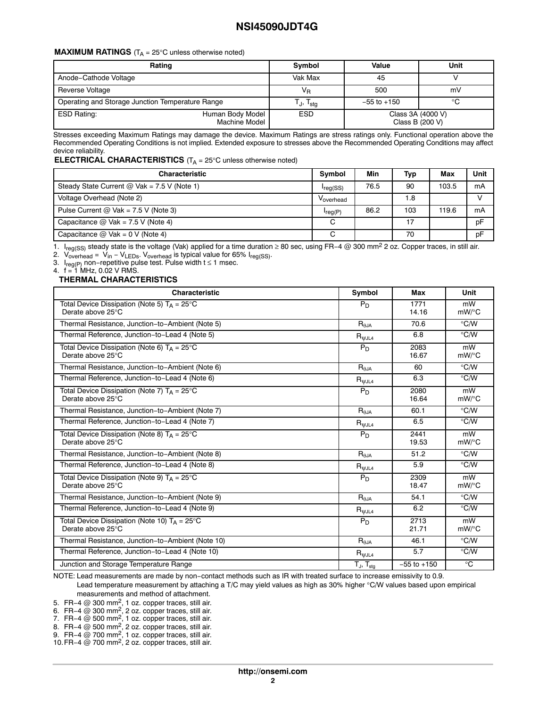### **MAXIMUM RATINGS**  $(T_A = 25^\circ \text{C}$  unless otherwise noted)

| Rating                                           | Symbol                            | Value           | Unit                                 |  |
|--------------------------------------------------|-----------------------------------|-----------------|--------------------------------------|--|
| Anode-Cathode Voltage                            | Vak Max                           | 45              |                                      |  |
| Reverse Voltage                                  | VR                                | 500             | mV                                   |  |
| Operating and Storage Junction Temperature Range | Tj, T <sub>sta</sub>              | $-55$ to $+150$ | °C                                   |  |
| <b>ESD Rating:</b>                               | Human Body Model<br>Machine Model | <b>ESD</b>      | Class 3A (4000 V)<br>Class B (200 V) |  |

Stresses exceeding Maximum Ratings may damage the device. Maximum Ratings are stress ratings only. Functional operation above the Recommended Operating Conditions is not implied. Extended exposure to stresses above the Recommended Operating Conditions may affect device reliability.

### **ELECTRICAL CHARACTERISTICS** (T<sub>A</sub> = 25°C unless otherwise noted)

| <b>Characteristic</b>                         | <b>Symbol</b> | Min  | <b>Typ</b> | Max   | Unit |
|-----------------------------------------------|---------------|------|------------|-------|------|
| Steady State Current $@$ Vak = 7.5 V (Note 1) | $I_{reg(SS)}$ | 76.5 | 90         | 103.5 | mA   |
| Voltage Overhead (Note 2)                     | Voverhead     |      | 1.8        |       |      |
| Pulse Current @ $Vak = 7.5 V$ (Note 3)        | $I_{reg(P)}$  | 86.2 | 103        | 119.6 | mA   |
| Capacitance $@$ Vak = 7.5 V (Note 4)          | C             |      |            |       | pF   |
| Capacitance $@$ Vak = 0 V (Note 4)            |               |      | 70         |       | pF   |

1. Ireg(SS) steady state is the voltage (Vak) applied for a time duration ≥ 80 sec, using FR−4 @ 300 mm2 2 oz. Copper traces, in still air.

2. V<sub>overhead</sub> = V<sub>in</sub> − V<sub>LEDs</sub>. V<sub>overhead</sub> is typical value for 65% I<sub>reg(SS)</sub>.

3. I<sub>reg(P)</sub> non−repetitive pulse test. Pulse width t ≤ 1 msec.<br>4. f = 1 MHz, 0.02 V RMS.

### **THERMAL CHARACTERISTICS**

| <b>Characteristic</b>                                                       | Symbol                                | <b>Max</b>      | Unit                    |
|-----------------------------------------------------------------------------|---------------------------------------|-----------------|-------------------------|
| Total Device Dissipation (Note 5) $T_A = 25^{\circ}C$<br>Derate above 25°C  | $P_D$                                 | 1771<br>14.16   | mW<br>$mW$ /°C          |
| Thermal Resistance, Junction-to-Ambient (Note 5)                            | $\mathsf{R}_{\theta \mathsf{JA}}$     | 70.6            | $\degree$ C/W           |
| Thermal Reference, Junction-to-Lead 4 (Note 5)                              | $\mathsf{R}_{\mathsf{\mathsf{WJL4}}}$ | 6.8             | $\degree$ C/W           |
| Total Device Dissipation (Note 6) $T_A = 25^{\circ}C$<br>Derate above 25°C  | $P_D$                                 | 2083<br>16.67   | mW<br>mW/°C             |
| Thermal Resistance, Junction-to-Ambient (Note 6)                            | $\mathsf{R}_{\theta \mathsf{JA}}$     | 60              | $\degree$ C/W           |
| Thermal Reference, Junction-to-Lead 4 (Note 6)                              | $R_{\psi J L4}$                       | 6.3             | $\degree$ C/W           |
| Total Device Dissipation (Note 7) $T_A = 25^{\circ}C$<br>Derate above 25°C  | $P_D$                                 | 2080<br>16.64   | mW<br>mW/°C             |
| Thermal Resistance, Junction-to-Ambient (Note 7)                            | $\mathsf{R}_{\theta \mathsf{JA}}$     | 60.1            | °C/W                    |
| Thermal Reference, Junction-to-Lead 4 (Note 7)                              | $R_{\psi J L4}$                       | 6.5             | $\degree$ C/W           |
| Total Device Dissipation (Note 8) $T_A = 25^{\circ}C$<br>Derate above 25°C  | $P_D$                                 | 2441<br>19.53   | mW<br>mW/°C             |
| Thermal Resistance, Junction-to-Ambient (Note 8)                            | $\mathsf{R}_{\theta \text{JA}}$       | 51.2            | $\degree$ C/W           |
| Thermal Reference, Junction-to-Lead 4 (Note 8)                              | $R_{\psi J L4}$                       | 5.9             | $\degree$ C/W           |
| Total Device Dissipation (Note 9) $T_A = 25^{\circ}C$<br>Derate above 25°C  | $P_D$                                 | 2309<br>18.47   | mW<br>$mW$ /°C          |
| Thermal Resistance, Junction-to-Ambient (Note 9)                            | $R_{\theta JA}$                       | 54.1            | $\degree$ C/W           |
| Thermal Reference, Junction-to-Lead 4 (Note 9)                              | $\mathsf{R}_{\mathsf{WJL4}}$          | 6.2             | $\degree$ C/W           |
| Total Device Dissipation (Note 10) $T_A = 25^{\circ}C$<br>Derate above 25°C | $P_D$                                 | 2713<br>21.71   | mW<br>$mW$ /°C          |
| Thermal Resistance, Junction-to-Ambient (Note 10)                           | $R_{\theta JA}$                       | 46.1            | $\mathrm{C}/\mathrm{W}$ |
| Thermal Reference, Junction-to-Lead 4 (Note 10)                             | $\mathsf{R}_{\mathsf{WJL4}}$          | 5.7             | $\degree$ C/W           |
| Junction and Storage Temperature Range                                      | $T_J$ , $T_{\text{stg}}$              | $-55$ to $+150$ | $^{\circ}$ C            |

NOTE: Lead measurements are made by non−contact methods such as IR with treated surface to increase emissivity to 0.9.

Lead temperature measurement by attaching a T/C may yield values as high as 30% higher °C/W values based upon empirical measurements and method of attachment.

5. FR-4  $@$  300 mm<sup>2</sup>, 1 oz. copper traces, still air.

6. FR−4  $@$  300 mm<sup>2</sup>, 2 oz. copper traces, still air.

7. FR−4 @ 500 mm<sup>2</sup>, 1 oz. copper traces, still air.

8. FR-4  $@$  500 mm<sup>2</sup>, 2 oz. copper traces, still air.

9. FR−4 @ 700 mm<sup>2</sup>, 1 oz. copper traces, still air.

10.FR−4 @ 700 mm2, 2 oz. copper traces, still air.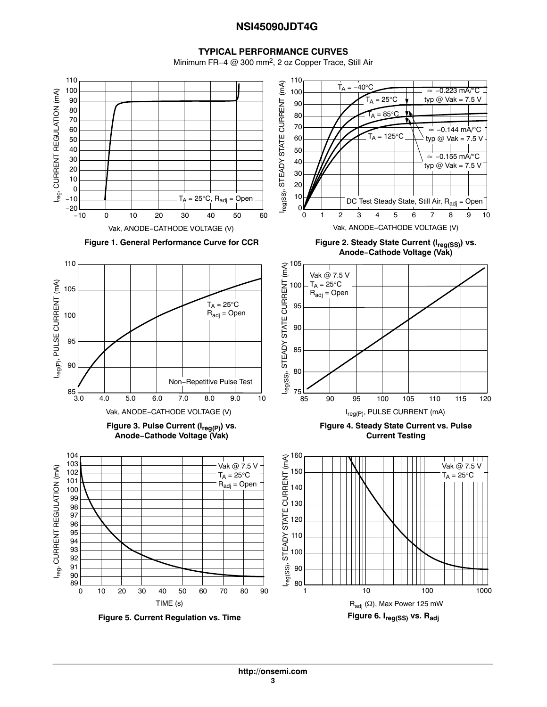### **TYPICAL PERFORMANCE CURVES**

Minimum FR−4 @ 300 mm2, 2 oz Copper Trace, Still Air

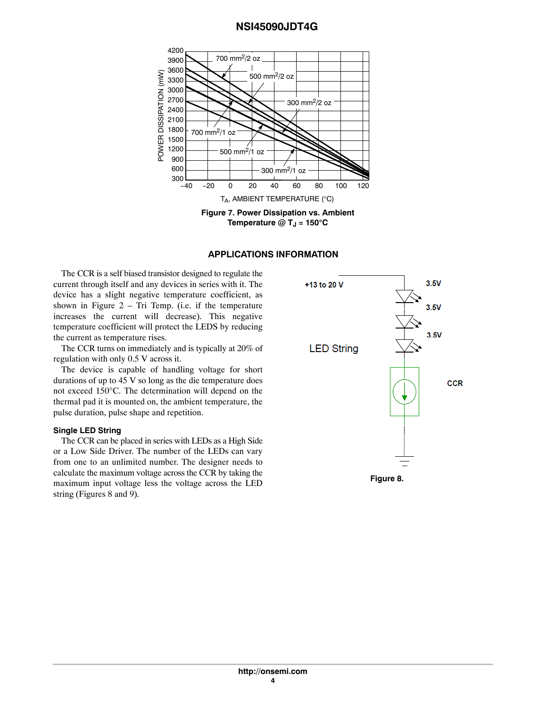

### **APPLICATIONS INFORMATION**

The CCR is a self biased transistor designed to regulate the current through itself and any devices in series with it. The device has a slight negative temperature coefficient, as shown in Figure  $2 - Tri$  Temp. (i.e. if the temperature increases the current will decrease). This negative temperature coefficient will protect the LEDS by reducing the current as temperature rises.

The CCR turns on immediately and is typically at 20% of regulation with only 0.5 V across it.

The device is capable of handling voltage for short durations of up to 45 V so long as the die temperature does not exceed 150°C. The determination will depend on the thermal pad it is mounted on, the ambient temperature, the pulse duration, pulse shape and repetition.

### **Single LED String**

The CCR can be placed in series with LEDs as a High Side or a Low Side Driver. The number of the LEDs can vary from one to an unlimited number. The designer needs to calculate the maximum voltage across the CCR by taking the maximum input voltage less the voltage across the LED string (Figures 8 and [9](#page-4-0)).

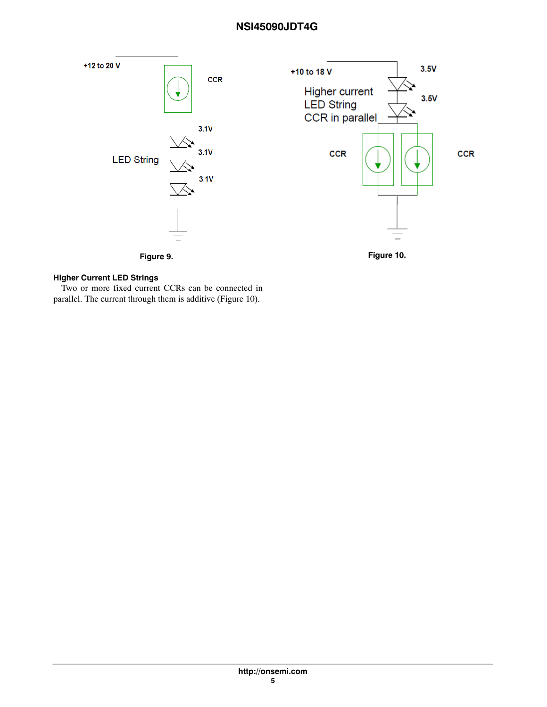<span id="page-4-0"></span>



### **Higher Current LED Strings**

Two or more fixed current CCRs can be connected in parallel. The current through them is additive (Figure 10).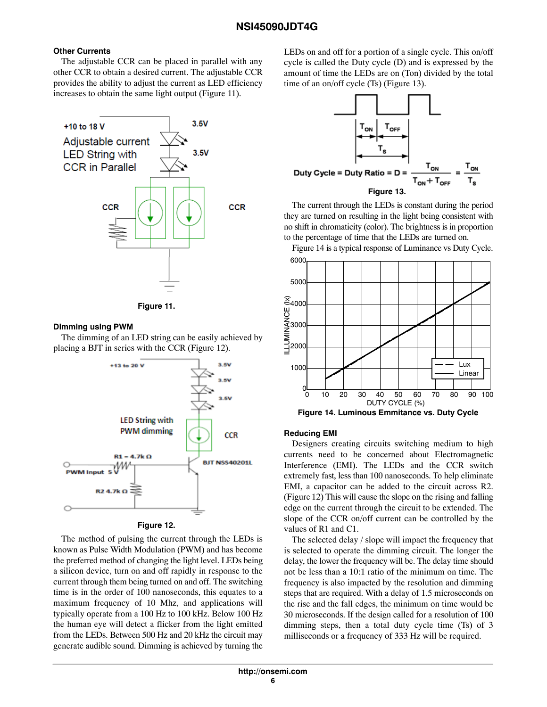# **Other Currents**

The adjustable CCR can be placed in parallel with any other CCR to obtain a desired current. The adjustable CCR provides the ability to adjust the current as LED efficiency increases to obtain the same light output (Figure 11).





# **Dimming using PWM**

The dimming of an LED string can be easily achieved by placing a BJT in series with the CCR (Figure 12).



**Figure 12.** 

The method of pulsing the current through the LEDs is known as Pulse Width Modulation (PWM) and has become the preferred method of changing the light level. LEDs being a silicon device, turn on and off rapidly in response to the current through them being turned on and off. The switching time is in the order of 100 nanoseconds, this equates to a maximum frequency of 10 Mhz, and applications will typically operate from a 100 Hz to 100 kHz. Below 100 Hz the human eye will detect a flicker from the light emitted from the LEDs. Between 500 Hz and 20 kHz the circuit may generate audible sound. Dimming is achieved by turning the

LEDs on and off for a portion of a single cycle. This on/off cycle is called the Duty cycle (D) and is expressed by the amount of time the LEDs are on (Ton) divided by the total time of an on/off cycle (Ts) (Figure 13).



The current through the LEDs is constant during the period they are turned on resulting in the light being consistent with no shift in chromaticity (color). The brightness is in proportion to the percentage of time that the LEDs are turned on.

Figure 14 is a typical response of Luminance vs Duty Cycle.



# **Reducing EMI**

Designers creating circuits switching medium to high currents need to be concerned about Electromagnetic Interference (EMI). The LEDs and the CCR switch extremely fast, less than 100 nanoseconds. To help eliminate EMI, a capacitor can be added to the circuit across R2. (Figure 12) This will cause the slope on the rising and falling edge on the current through the circuit to be extended. The slope of the CCR on/off current can be controlled by the values of R1 and C1.

The selected delay / slope will impact the frequency that is selected to operate the dimming circuit. The longer the delay, the lower the frequency will be. The delay time should not be less than a 10:1 ratio of the minimum on time. The frequency is also impacted by the resolution and dimming steps that are required. With a delay of 1.5 microseconds on the rise and the fall edges, the minimum on time would be 30 microseconds. If the design called for a resolution of 100 dimming steps, then a total duty cycle time (Ts) of 3 milliseconds or a frequency of 333 Hz will be required.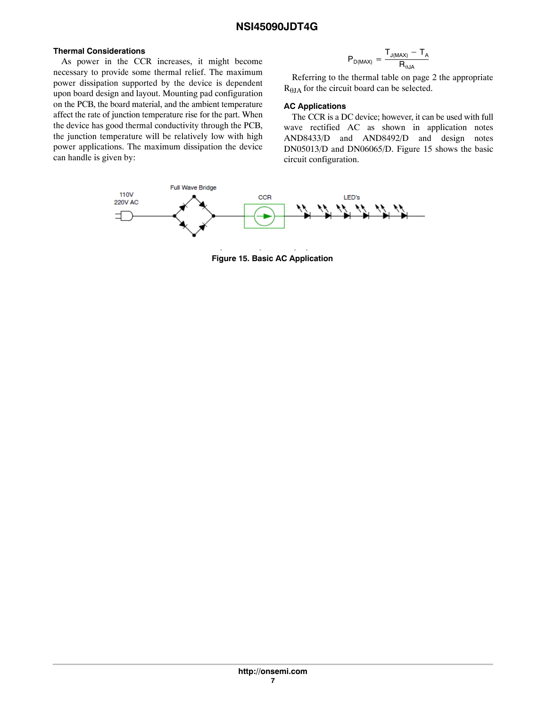# **Thermal Considerations**

As power in the CCR increases, it might become necessary to provide some thermal relief. The maximum power dissipation supported by the device is dependent upon board design and layout. Mounting pad configuration on the PCB, the board material, and the ambient temperature affect the rate of junction temperature rise for the part. When the device has good thermal conductivity through the PCB, the junction temperature will be relatively low with high power applications. The maximum dissipation the device can handle is given by:

$$
P_{D(MAX)} = \frac{T_{J(MAX)} - T_A}{R_{\theta JA}}
$$

Referring to the thermal table on page 2 the appropriate  $R_{\theta JA}$  for the circuit board can be selected.

# **AC Applications**

The CCR is a DC device; however, it can be used with full wave rectified AC as shown in application notes AND8433/D and AND8492/D and design notes DN05013/D and DN06065/D. Figure 15 shows the basic circuit configuration.



**Figure 15. Basic AC Application**